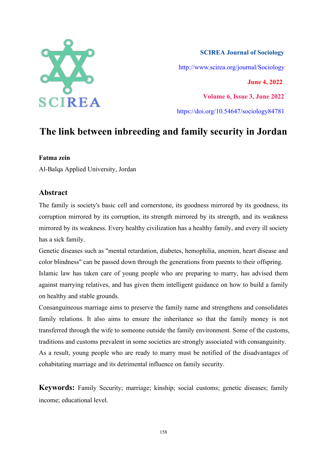

**SCIREA Journal of Sociology** http://www.scirea.org/journal/Sociology **June 4, 2022 Volume 6, Issue 3, June 2022** https://doi.org/10.54647/sociology84781

# **The link between inbreeding and family security in Jordan**

## **Fatma zein**

Al-Balqa Applied University, Jordan

# **Abstract**

The family is society's basic cell and cornerstone, its goodness mirrored by its goodness, its corruption mirrored by its corruption, its strength mirrored by its strength, and its weakness mirrored by its weakness. Every healthy civilization has a healthy family, and every ill society has a sick family.

Genetic diseases such as "mental retardation, diabetes, hemophilia, anemim, heart disease and color blindness" can be passed down through the generations from parents to their offspring. Islamic law has taken care of young people who are preparing to marry, has advised them against marrying relatives, and has given them intelligent guidance on how to build a family on healthy and stable grounds.

Consanguineous marriage aims to preserve the family name and strengthens and consolidates family relations. It also aims to ensure the inheritance so that the family money is not transferred through the wife to someone outside the family environment. Some of the customs, traditions and customs prevalent in some societies are strongly associated with consanguinity. As a result, young people who are ready to marry must be notified of the disadvantages of cohabitating marriage and its detrimental influence on family security.

**Keywords:** Family Security; marriage; kinship; social customs; genetic diseases; family income; educational level.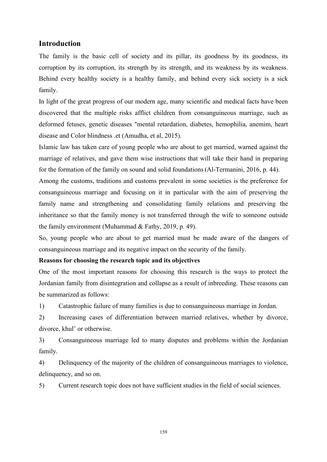# **Introduction**

The family is the basic cell of society and its pillar, its goodness by its goodness, its corruption by its corruption, its strength by its strength, and its weakness by its weakness. Behind every healthy society is a healthy family, and behind every sick society is a sick family.

In light of the great progress of our modern age, many scientific and medical facts have been discovered that the multiple risks afflict children from consanguineous marriage, such as deformed fetuses, genetic diseases "mental retardation, diabetes, hemophilia, anemim, heart disease and Color blindness .et (Amudha, et al, 2015).

Islamic law has taken care of young people who are about to get married, warned against the marriage of relatives, and gave them wise instructions that will take their hand in preparing for the formation of the family on sound and solid foundations(Al-Termanini, 2016, p. 44).

Among the customs, traditions and customs prevalent in some societies is the preference for consanguineous marriage and focusing on it in particular with the aim of preserving the family name and strengthening and consolidating family relations and preserving the inheritance so that the family money is not transferred through the wife to someone outside the family environment (Muhammad & Fathy, 2019, p. 49).

So, young people who are about to get married must be made aware of the dangers of consanguineous marriage and its negative impact on the security of the family.

### **Reasons for choosing the research topic and its objectives**

One of the most important reasons for choosing this research is the ways to protect the Jordanian family from disintegration and collapse as a result of inbreeding. These reasons can be summarized as follows:

1) Catastrophic failure of many families is due to consanguineous marriage in Jordan.

2) Increasing cases of differentiation between married relatives, whether by divorce, divorce, khul' or otherwise.

3) Consanguineous marriage led to many disputes and problems within the Jordanian family.

4) Delinquency of the majority of the children of consanguineous marriages to violence, delinquency, and so on.

5) Current research topic does not have sufficient studies in the field of social sciences.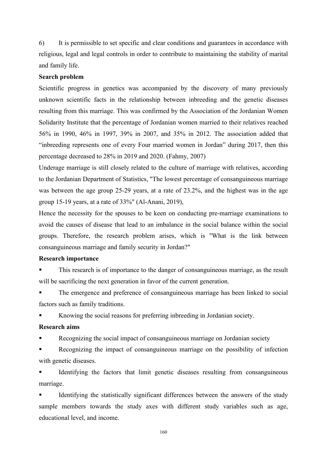6) It is permissible to set specific and clear conditions and guarantees in accordance with religious, legal and legal controls in order to contribute to maintaining the stability of marital and family life.

#### **Search problem**

Scientific progress in genetics was accompanied by the discovery of many previously unknown scientific facts in the relationship between inbreeding and the genetic diseases resulting from this marriage. This was confirmed by the Association of the Jordanian Women Solidarity Institute that the percentage of Jordanian women married to their relatives reached 56% in 1990, 46% in 1997, 39% in 2007, and 35% in 2012. The association added that "inbreeding represents one of every Four married women in Jordan" during 2017, then this percentage decreased to 28% in 2019 and 2020. (Fahmy,2007)

Underage marriage is still closely related to the culture of marriage with relatives, according to the Jordanian Department of Statistics, "The lowest percentage of consanguineous marriage was between the age group 25-29 years, at a rate of 23.2%, and the highest was in the age group 15-19 years, at a rate of 33%" (Al-Anani, 2019),

Hence the necessity for the spouses to be keen on conducting pre-marriage examinations to avoid the causes of disease that lead to an imbalance in the socialbalance within the social groups. Therefore, the research problem arises, which is "What is the link between consanguineous marriage and family security in Jordan?"

#### **Research importance**

This research is of importance to the danger of consanguineous marriage, as the result will be sacrificing the next generation in favor of the current generation.

 The emergence and preference of consanguineous marriage has been linked to social factors such as family traditions.

Knowing the social reasons for preferring inbreeding in Jordanian society.

### **Research aims**

Recognizing the social impact of consanguineous marriage on Jordanian society

Recognizing the impact of consanguineous marriage on the possibility of infection with genetic diseases.

Identifying the factors that limit genetic diseases resulting from consanguineous marriage.

 Identifying the statistically significant differences between the answers of the study sample members towards the study axes with different study variables such as age, educational level, and income.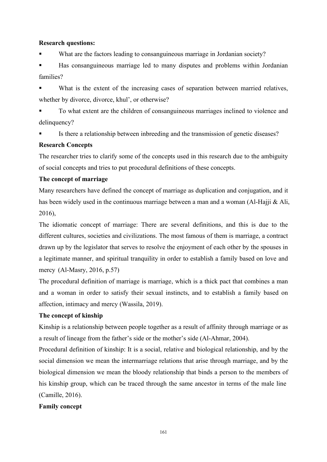### **Research questions:**

What are the factors leading to consanguineous marriage in Jordanian society?

 Has consanguineous marriage led to many disputes and problems within Jordanian families?

 What is the extent of the increasing cases of separation between married relatives, whether by divorce, divorce, khul', or otherwise?

 To what extent are the children of consanguineous marriages inclined to violence and delinquency?

Is there a relationship between inbreeding and the transmission of genetic diseases?

### **Research Concepts**

The researcher tries to clarify some of the concepts used in this research due to the ambiguity of social concepts and tries to put procedural definitions of these concepts.

### **The concept of marriage**

Many researchers have defined the concept of marriage as duplication and conjugation, and it has been widely used in the continuous marriage between a man and a woman (Al-Hajji & Ali, 2016),

The idiomatic concept of marriage: There are several definitions, and this is due to the different cultures, societies and civilizations. The most famous of them is marriage, a contract drawn up by the legislator that serves to resolve the enjoyment of each other by the spouses in a legitimate manner, and spiritual tranquility in order to establish a family based on love and mercy (Al-Masry, 2016, p.57)

The procedural definition of marriage is marriage, which is a thick pact that combines a man and a woman in order to satisfy their sexual instincts, and to establish a family based on affection, intimacy and mercy (Wassila, 2019).

### **The concept of kinship**

Kinship is a relationship between people together as a result of affinity through marriage or as a result of lineage from the father's side or the mother's side (Al-Ahmar, 2004).

Procedural definition of kinship: It is a social, relative and biological relationship, and by the social dimension we mean the intermarriage relations that arise through marriage, and by the biological dimension we mean the bloody relationship that binds a person to the members of his kinship group, which can be traced through the same ancestor in terms of the male line (Camille, 2016).

### **Family concept**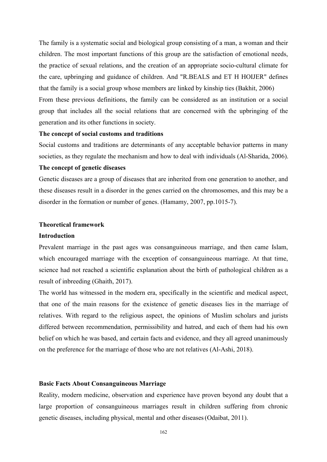The family is a systematic social and biological group consisting of a man, a woman and their children. The most important functions of this group are the satisfaction of emotional needs, the practice of sexual relations, and the creation of an appropriate socio-cultural climate for the care, upbringing and guidance of children. And "R.BEALS and ET H HOIJER" defines that the family is a social group whose members are linked by kinship ties (Bakhit, 2006) From these previous definitions, the family can be considered as an institution or a social group that includes all the social relations that are concerned with the upbringing of the generation and its other functions in society.

#### **The concept of social customs and traditions**

Social customs and traditions are determinants of any acceptable behavior patterns in many societies, as they regulate the mechanism and how to deal with individuals (Al-Sharida, 2006).

#### **The concept of genetic diseases**

Genetic diseases are a group of diseases that are inherited from one generation to another, and these diseases result in a disorder in the genes carried on the chromosomes, and this may be a disorder in the formation or number of genes. (Hamamy, 2007, pp.1015-7).

#### **Theoretical framework**

#### **Introduction**

Prevalent marriage in the past ages was consanguineous marriage, and then came Islam, which encouraged marriage with the exception of consanguineous marriage. At that time, science had not reached a scientific explanation about the birth of pathological children as a result of inbreeding (Ghaith, 2017).

The world has witnessed in the modern era, specifically in the scientific and medical aspect, that one of the main reasons for the existence of genetic diseases lies in the marriage of relatives. With regard to the religious aspect, the opinions of Muslim scholars and jurists differed between recommendation, permissibility and hatred, and each of them had his own belief on which he was based, and certain facts and evidence, and they all agreed unanimously on the preference for the marriage of those who are not relatives (Al-Ashi, 2018).

#### **Basic Facts About Consanguineous Marriage**

Reality, modern medicine, observation and experience have proven beyond any doubt that a large proportion of consanguineous marriages result in children suffering from chronic genetic diseases, including physical, mental and other diseases(Odaibat, 2011).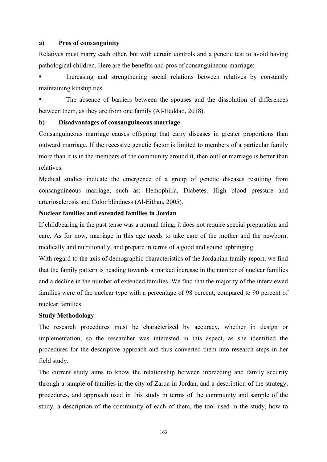#### **a)** Pros of consanguinity

Relatives must marry each other, but with certain controls and a genetic test to avoid having pathological children. Here are the benefits and pros of consanguineous marriage:

 Increasing and strengthening social relations between relatives by constantly maintaining kinship ties.

 The absence of barriers between the spouses and the dissolution of differences between them, as they are from one family (Al-Haddad, 2018).

#### **b**) **Disadvantages of consanguineous marriage**

Consanguineous marriage causes offspring that carry diseases in greater proportions than outward marriage. If the recessive genetic factor is limited to members of a particular family more than it is in the members of the community around it, then outlier marriage is better than relatives.

Medical studies indicate the emergence of a group of genetic diseases resulting from consanguineous marriage, such as: Hemophilia, Diabetes. High blood pressure and arteriosclerosis and Color blindness (Al-Eithan, 2005).

# **Nuclear families and extended families in Jordan**

If childbearing in the past tense was a normal thing, it does not require special preparation and care. As for now, marriage in this age needs to take care of the mother and the newborn, medically and nutritionally, and prepare in terms of a good and sound upbringing.

With regard to the axis of demographic characteristics of the Jordanian family report, we find that the family pattern is heading towards a marked increase in the number of nuclear families and a decline in the number of extended families. We find that the majority of the interviewed families were of the nuclear type with a percentage of 98 percent, compared to 90 percent of nuclear families

#### **Study Methodology**

The research procedures must be characterized by accuracy, whether in design or implementation, so the researcher was interested in this aspect, as she identified the procedures for the descriptive approach and thus converted them into research steps in her field study.

The current study aims to know the relationship between inbreeding and family security through a sample of families in the city of Zarqa in Jordan, and a description of the strategy, procedures, and approach used in this study in terms of the community and sample of the study, a description of the community of each of them, the tool used in the study, how to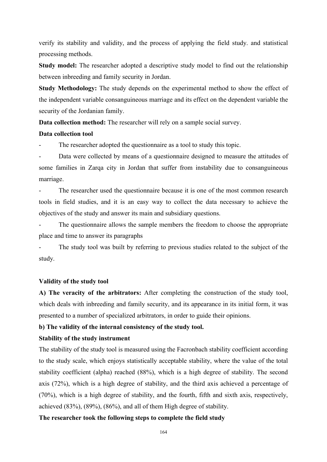verify its stability and validity, and the process of applying the field study. and statistical processing methods.

**Study model:** The researcher adopted a descriptive study model to find out the relationship between inbreeding and family security in Jordan.

**Study Methodology:** The study depends on the experimental method to show the effect of the independent variable consanguineous marriage and its effect on the dependent variable the security of the Jordanian family.

**Data collection method:** The researcher will rely on a sample social survey.

## **Data collection tool**

The researcher adopted the questionnaire as a tool to study this topic.

Data were collected by means of a questionnaire designed to measure the attitudes of some families in Zarqa city in Jordan that suffer from instability due to consanguineous marriage.

The researcher used the questionnaire because it is one of the most common research tools in field studies, and it is an easy way to collect the data necessary to achieve the objectives of the study and answer its main and subsidiary questions.

The questionnaire allows the sample members the freedom to choose the appropriate place and time to answer its paragraphs

The study tool was built by referring to previous studies related to the subject of the study.

# **Validity of the study tool**

**A) The veracity of the arbitrators:** After completing the construction of the study tool, which deals with inbreeding and family security, and its appearance in its initial form, it was presented to a number of specialized arbitrators, in order to guide theiropinions.

# **b) The validity of the internal consistency of the study tool.**

# **Stability of the study instrument**

The stability of the study tool is measured using the Facronbach stability coefficient according to the study scale, which enjoys statistically acceptable stability, where the value of the total stability coefficient (alpha) reached (88%), which is a high degree of stability. The second axis (72%), which is a high degree of stability, and the third axis achieved a percentage of (70%), which is a high degree of stability, and the fourth, fifth and sixth axis, respectively, achieved (83%), (89%), (86%), and all of them High degree of stability.

# **The researcher took the following steps to complete the field study**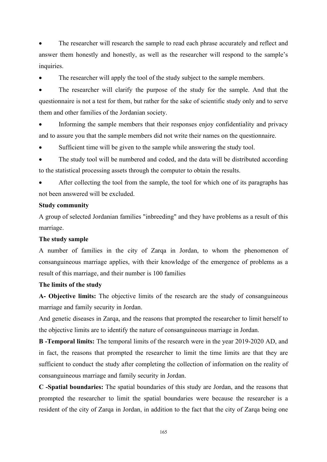The researcher will research the sample to read each phrase accurately and reflect and answer them honestly and honestly, as well as the researcher will respond to the sample's inquiries.

The researcher will apply the tool of the study subject to the sample members.

 The researcher will clarify the purpose of the study for the sample. And that the questionnaire is not a test for them, but rather for the sake of scientific study only and to serve them and other families of the Jordanian society.

 Informing the sample members that their responses enjoy confidentiality and privacy and to assure you that the sample members did not write their names on the questionnaire.

Sufficient time will be given to the sample while answering the study tool.

 The study tool will be numbered and coded, and the data will be distributed according to the statistical processing assets through the computer to obtain the results.

 After collecting the tool from the sample, the tool for which one of its paragraphs has not been answered will be excluded.

#### **Study community**

A group of selected Jordanian families "inbreeding" and they have problems as a result of this marriage.

# **The study sample**

A number of families in the city of Zarqa in Jordan, to whom the phenomenon of consanguineous marriage applies, with their knowledge of the emergence of problems as a result of this marriage, and their number is 100 families

#### **The limits of the study**

**A- Objective limits:** The objective limits of the research are the study of consanguineous marriage and family security in Jordan.

And genetic diseases in Zarqa, and the reasons that prompted the researcher to limit herself to the objective limits are to identify the nature of consanguineous marriage in Jordan.

**B -Temporal limits:** The temporal limits of the research were in the year 2019-2020 AD, and in fact, the reasons that prompted the researcher to limit the time limits are that they are sufficient to conduct the study after completing the collection of information on the reality of consanguineous marriage and family security in Jordan.

**C -Spatial boundaries:** The spatial boundaries of this study are Jordan, and the reasons that prompted the researcher to limit the spatial boundaries were because the researcher is a resident of the city of Zarqa in Jordan, in addition to the fact that the city of Zarqa being one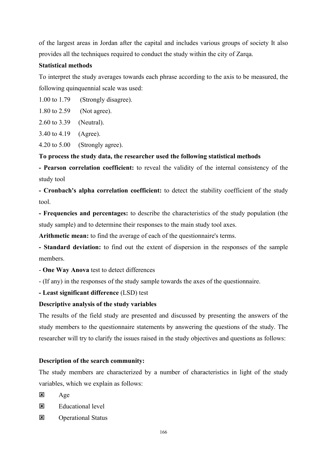of the largest areas in Jordan after the capital and includes various groups of society It also provides all the techniques required to conduct the study within the city of Zarqa.

# **Statistical methods**

To interpret the study averages towards each phrase according to the axis to be measured, the following quinquennial scale was used:

1.00 to 1.79 (Strongly disagree).

1.80 to 2.59 (Not agree).

2.60 to 3.39 (Neutral).

3.40 to 4.19 (Agree).

4.20 to 5.00 (Strongly agree).

## **To process the study data, the researcher used the following statistical methods**

**- Pearson correlation coefficient:** to reveal the validity of the internal consistency of the study tool

**- Cronbach's alpha correlation coefficient:** to detect the stability coefficient of the study tool.

**- Frequencies and percentages:** to describe the characteristics of the study population (the study sample) and to determine their responses to the main study tool axes.

**Arithmetic mean:** to find the average of each of the questionnaire's terms.

**- Standard deviation:** to find out the extent of dispersion in the responses of the sample members.

- **One Way Anova** test to detect differences

- (If any) in the responses of the study sample towards the axes of the questionnaire.

**- Least significant difference** (LSD) test

# **Descriptive analysis of the study variables**

The results of the field study are presented and discussed by presenting the answers of the study members to the questionnaire statements by answering the questions of the study. The researcher will try to clarify the issues raised in the study objectives and questions as follows:

# **Description of the search community:**

The study members are characterized by a number of characteristics in light of the study variables, which we explain as follows:

 $\mathbf{x}$  Age

- $\overline{\mathbf{x}}$  Educational level
- **E** Operational Status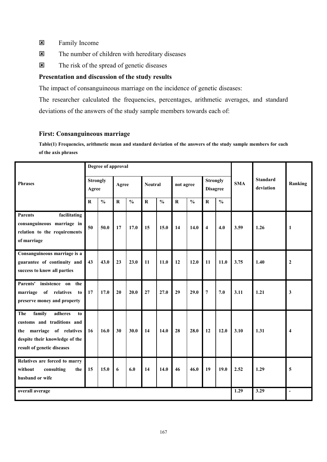- **EX** Family Income
- The number of children with hereditary diseases
- $\triangleright$  The risk of the spread of genetic diseases

# **Presentation and discussion of the study results**

The impact of consanguineous marriage on the incidence of genetic diseases:

The researcher calculated the frequencies, percentages, arithmetic averages, and standard deviations of the answers of the study sample members towards each of:

## **First: Consanguineous marriage**

Table(1) Frequencies, arithmetic mean and standard deviation of the answers of the study sample members for each **of the axis phrases**

|                                                                                                                                                              |         | Degree of approval       |           |               |           |                |           |               |                         |                                    |            |                              |                          |
|--------------------------------------------------------------------------------------------------------------------------------------------------------------|---------|--------------------------|-----------|---------------|-----------|----------------|-----------|---------------|-------------------------|------------------------------------|------------|------------------------------|--------------------------|
| <b>Phrases</b>                                                                                                                                               |         | <b>Strongly</b><br>Agree |           | Agree         |           | <b>Neutral</b> |           | not agree     |                         | <b>Strongly</b><br><b>Disagree</b> | <b>SMA</b> | <b>Standard</b><br>deviation | Ranking                  |
|                                                                                                                                                              | $\bf R$ | $\frac{0}{0}$            | ${\bf R}$ | $\frac{0}{0}$ | ${\bf R}$ | $\frac{0}{0}$  | ${\bf R}$ | $\frac{0}{0}$ | ${\bf R}$               | $\mathbf{0}_{\mathbf{0}}^{\prime}$ |            |                              |                          |
| facilitating<br><b>Parents</b><br>consanguineous marriage in<br>relation to the requirements<br>of marriage                                                  | 50      | 50.0                     | 17        | 17.0          | 15        | 15.0           | 14        | 14.0          | $\overline{\mathbf{4}}$ | 4.0                                | 3.59       | 1.26                         | 1                        |
| Consanguineous marriage is a<br>guarantee of continuity and<br>success to know all parties                                                                   | 43      | 43.0                     | 23        | 23.0          | 11        | 11.0           | 12        | 12.0          | 11                      | 11.0                               | 3.75       | 1.40                         | $\boldsymbol{2}$         |
| Parents'<br>insistence on<br>the<br>marriage of relatives<br>to<br>preserve money and property                                                               | 17      | 17.0                     | 20        | 20.0          | 27        | 27.0           | 29        | 29.0          | $\overline{7}$          | 7.0                                | 3.11       | 1.21                         | $\mathbf{3}$             |
| family<br>adheres<br>The<br>to<br>customs and traditions and<br>marriage of relatives<br>the<br>despite their knowledge of the<br>result of genetic diseases | 16      | 16.0                     | 30        | 30.0          | 14        | 14.0           | 28        | 28.0          | 12                      | 12.0                               | 3.10       | 1.31                         | $\overline{\mathbf{4}}$  |
| Relatives are forced to marry<br>consulting<br>without<br>the<br>husband or wife                                                                             | 15      | 15.0                     | 6         | 6.0           | 14        | 14.0           | 46        | 46.0          | 19                      | 19.0                               | 2.52       | 1.29                         | 5                        |
| overall average                                                                                                                                              |         |                          |           |               |           |                |           |               |                         |                                    | 1.29       | 3.29                         | $\overline{\phantom{a}}$ |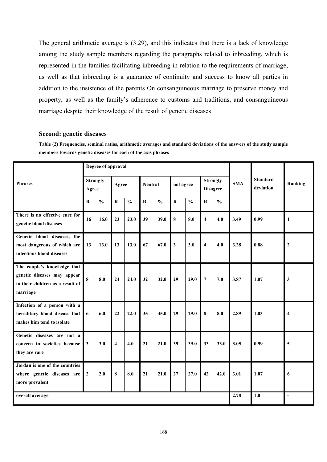The general arithmetic average is  $(3.29)$ , and this indicates that there is a lack of knowledge among the study sample members regarding the paragraphs related to inbreeding, which is represented in the families facilitating inbreeding in relation to the requirements of marriage, as well as that inbreeding is a guarantee of continuity and success to know all parties in addition to the insistence of the parents On consanguineous marriage to preserve money and property, as well as the family's adherence to customs and traditions, and consanguineous marriage despite their knowledge of the result of genetic diseases

#### **Second: genetic diseases**

**Table (2) Frequencies, seminal ratios, arithmetic averages and standard deviations ofthe answers ofthe study sample members towards genetic diseases for each of the axis phrases**

|                                                                                                            |                          | Degree of approval |                         |               |                |               |              |               |                                    |               |            |                              |                     |
|------------------------------------------------------------------------------------------------------------|--------------------------|--------------------|-------------------------|---------------|----------------|---------------|--------------|---------------|------------------------------------|---------------|------------|------------------------------|---------------------|
| <b>Phrases</b>                                                                                             | <b>Strongly</b><br>Agree |                    | Agree                   |               | <b>Neutral</b> |               | not agree    |               | <b>Strongly</b><br><b>Disagree</b> |               | <b>SMA</b> | <b>Standard</b><br>deviation | Ranking             |
|                                                                                                            | $\mathbf R$              | $\frac{0}{0}$      | $\mathbf R$             | $\frac{0}{0}$ | $\mathbf R$    | $\frac{0}{0}$ | $\mathbf R$  | $\frac{0}{0}$ | $\mathbf R$                        | $\frac{0}{0}$ |            |                              |                     |
| There is no effective cure for<br>genetic blood diseases                                                   | 16                       | 16.0               | 23                      | 23.0          | 39             | 39.0          | 8            | 8.0           | $\overline{\mathbf{4}}$            | 4.0           | 3.49       | 0.99                         | $\mathbf{1}$        |
| Genetic blood diseases, the<br>most dangerous of which are<br>infectious blood diseases                    | 13                       | 13.0               | 13                      | 13.0          | 67             | 67.0          | $\mathbf{3}$ | 3.0           | $\overline{\mathbf{4}}$            | 4.0           | 3.28       | 0.88                         | $\boldsymbol{2}$    |
| The couple's knowledge that<br>genetic diseases may appear<br>in their children as a result of<br>marriage | 8                        | 8.0                | 24                      | 24.0          | 32             | 32.0          | 29           | 29.0          | $\overline{7}$                     | 7.0           | 3.87       | 1.07                         | $\mathbf{3}$        |
| Infection of a person with a<br>hereditary blood disease that<br>makes him tend to isolate                 | 6                        | 6.0                | 22                      | 22.0          | 35             | 35.0          | 29           | 29.0          | $\pmb{8}$                          | 8.0           | 2.89       | 1.03                         | $\overline{\bf{4}}$ |
| Genetic diseases are not a<br>concern in societies because<br>they are rare                                | $\mathbf{3}$             | 3.0                | $\overline{\mathbf{4}}$ | 4.0           | 21             | 21.0          | 39           | 39.0          | 33                                 | 33.0          | 3.05       | 0.99                         | 5                   |
| Jordan is one of the countries<br>where genetic diseases are<br>more prevalent                             | $\mathbf{2}$             | 2.0                | 8                       | 8.0           | 21             | 21.0          | 27           | 27.0          | 42                                 | 42.0          | 3.01       | 1.07                         | 6                   |
| overall average                                                                                            |                          |                    |                         |               |                |               |              |               |                                    |               | 2.78       | 1.0                          | $\blacksquare$      |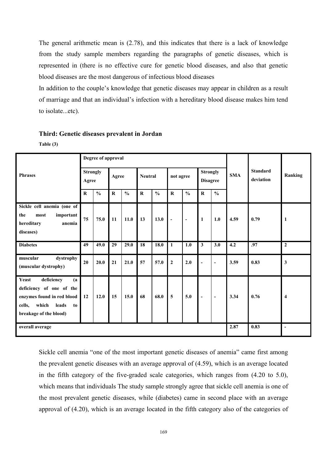The general arithmetic mean is (2.78), and this indicates that there is a lack of knowledge from the study sample members regarding the paragraphs of genetic diseases, which is represented in (there is no effective cure for genetic blood diseases, and also that genetic blood diseases are the most dangerous of infectious blood diseases

In addition to the couple's knowledge that genetic diseases may appear in children as a result of marriage and that an individual's infection with a hereditary blood disease makes him tend to isolate...etc).

### **Third: Genetic diseases prevalent in Jordan**

**Table (3)**

|                                                                                                                                               |                          | Degree of approval |         |               |                |               |                |                          |                                    |                          |            |                              |                         |
|-----------------------------------------------------------------------------------------------------------------------------------------------|--------------------------|--------------------|---------|---------------|----------------|---------------|----------------|--------------------------|------------------------------------|--------------------------|------------|------------------------------|-------------------------|
| <b>Phrases</b>                                                                                                                                | <b>Strongly</b><br>Agree |                    | Agree   |               | <b>Neutral</b> |               | not agree      |                          | <b>Strongly</b><br><b>Disagree</b> |                          | <b>SMA</b> | <b>Standard</b><br>deviation | Ranking                 |
|                                                                                                                                               | $\bf R$                  | $\frac{0}{0}$      | $\bf R$ | $\frac{0}{0}$ | $\bf R$        | $\frac{0}{0}$ | ${\bf R}$      | $\frac{0}{0}$            | $\bf R$                            | $\frac{0}{0}$            |            |                              |                         |
| Sickle cell anemia (one of<br>the<br>most<br>important<br>hereditary<br>anemia<br>diseases)                                                   | 75                       | 75.0               | 11      | 11.0          | 13             | 13.0          | $\blacksquare$ | $\overline{\phantom{a}}$ | $\mathbf{1}$                       | 1.0                      | 4.59       | 0.79                         | -1                      |
| <b>Diabetes</b>                                                                                                                               | 49                       | 49.0               | 29      | 29.0          | 18             | 18.0          |                | 1.0                      | 3                                  | 3.0                      | 4.2        | .97                          | $\overline{2}$          |
| dystrophy<br>muscular<br>(muscular dystrophy)                                                                                                 | 20                       | 20.0               | 21      | 21.0          | 57             | 57.0          | $\overline{2}$ | 2.0                      |                                    | $\overline{\phantom{a}}$ | 3.59       | 0.83                         | $\mathbf{3}$            |
| deficiency<br>Yeast<br>(a)<br>deficiency of one of the<br>enzymes found in red blood<br>cells,<br>which leads<br>to<br>breakage of the blood) | 12                       | 12.0               | 15      | 15.0          | 68             | 68.0          | 5              | 5.0                      | $\overline{\phantom{a}}$           | $\overline{\phantom{a}}$ | 3.34       | 0.76                         | $\overline{\mathbf{4}}$ |
| overall average                                                                                                                               |                          |                    |         |               |                |               |                |                          |                                    |                          | 2.87       | 0.83                         | $\blacksquare$          |

Sickle cell anemia "one of the most important genetic diseases of anemia" came first among the prevalent genetic diseases with an average approval of (4.59), which is an average located in the fifth category of the five-graded scale categories, which ranges from (4.20 to 5.0), which means that individuals The study sample strongly agree that sickle cell anemia is one of the most prevalent genetic diseases, while (diabetes) came in second place with an average approval of (4.20), which is an average located in the fifth category also of the categories of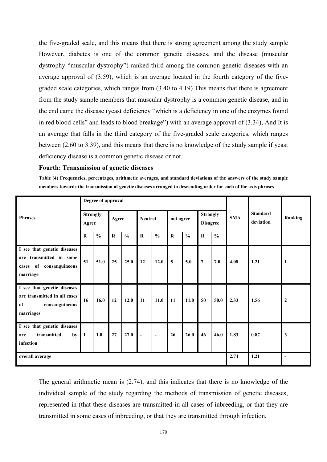the five-graded scale, and this means that there isstrong agreement among the study sample However, diabetes is one of the common genetic diseases, and the disease (muscular dystrophy "muscular dystrophy") ranked third among the common genetic diseases with an average approval of (3.59), which is an average located in the fourth category of the five graded scale categories, which ranges from  $(3.40 \text{ to } 4.19)$  This means that there is agreement from the study sample members that muscular dystrophy is a common genetic disease, and in the end came the disease (yeast deficiency "which is a deficiency in one of the enzymes found in red blood cells" and leads to blood breakage") with an average approval of (3.34), And It is an average that falls in the third category of the five-graded scale categories, which ranges between (2.60 to 3.39), and this means that there is no knowledge of the study sample if yeast deficiency disease is a common genetic disease or not.

#### **Fourth: Transmission of genetic diseases**

Table (4) Frequencies, percentages, arithmetic averages, and standard deviations of the answers of the study sample members towards the transmission of genetic diseases arranged in descending order for each of the axis phrases

|                                                                                                  |                          | Degree of approval |         |               |                          |                          |                |               |                                    |               |            |                              |                          |
|--------------------------------------------------------------------------------------------------|--------------------------|--------------------|---------|---------------|--------------------------|--------------------------|----------------|---------------|------------------------------------|---------------|------------|------------------------------|--------------------------|
| <b>Phrases</b>                                                                                   | <b>Strongly</b><br>Agree |                    | Agree   |               | <b>Neutral</b>           |                          | not agree      |               | <b>Strongly</b><br><b>Disagree</b> |               | <b>SMA</b> | <b>Standard</b><br>deviation | Ranking                  |
|                                                                                                  | $\bf R$                  | $\frac{6}{6}$      | $\bf R$ | $\frac{6}{6}$ | $\mathbf R$              | $\frac{0}{0}$            | $\bf R$        | $\frac{0}{0}$ | $\bf R$                            | $\frac{0}{0}$ |            |                              |                          |
| I see that genetic diseases<br>transmitted in some<br>are<br>cases of consanguineous<br>marriage | 51                       | 51.0               | 25      | 25.0          | 12                       | 12.0                     | $\overline{5}$ | 5.0           | $\overline{7}$                     | 7.0           | 4.08       | 1.21                         | -1                       |
| I see that genetic diseases<br>are transmitted in all cases<br>of<br>consanguineous<br>marriages | 16                       | 16.0               | 12      | 12.0          | 11                       | 11.0                     | 11             | 11.0          | 50                                 | 50.0          | 2.33       | 1.56                         | $\overline{2}$           |
| I see that genetic diseases<br>transmitted<br>by<br>are<br>infection                             | 1                        | 1.0                | 27      | 27.0          | $\overline{\phantom{a}}$ | $\overline{\phantom{a}}$ | 26             | 26.0          | 46                                 | 46.0          | 1.83       | 0.87                         | $\mathbf{3}$             |
| overall average                                                                                  |                          |                    |         |               |                          |                          |                |               |                                    |               | 2.74       | 1.21                         | $\overline{\phantom{a}}$ |

The general arithmetic mean is (2.74), and this indicates that there is no knowledge of the individual sample of the study regarding the methods of transmission of genetic diseases, represented in (that these diseases are transmitted in all cases of inbreeding, or that they are transmitted in some cases of inbreeding, or that they are transmitted through infection.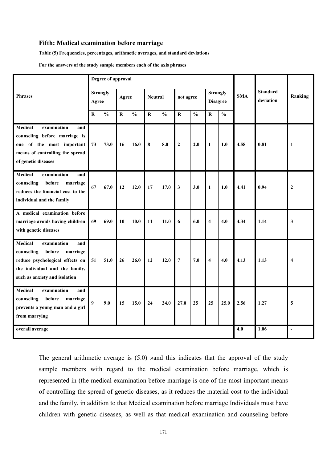#### **Fifth: Medical examination before marriage**

**Table (5) Frequencies, percentages, arithmetic averages, and standard deviations**

For the answers of the study sample members each of the axis phrases

|                                                                                                                                                                                |                          | Degree of approval |             |               |                |               |                         |               |                                    |               |            |                              |                |
|--------------------------------------------------------------------------------------------------------------------------------------------------------------------------------|--------------------------|--------------------|-------------|---------------|----------------|---------------|-------------------------|---------------|------------------------------------|---------------|------------|------------------------------|----------------|
| <b>Phrases</b>                                                                                                                                                                 | <b>Strongly</b><br>Agree |                    | Agree       |               | <b>Neutral</b> |               | not agree               |               | <b>Strongly</b><br><b>Disagree</b> |               | <b>SMA</b> | <b>Standard</b><br>deviation | Ranking        |
|                                                                                                                                                                                | R                        | $\frac{0}{0}$      | $\mathbf R$ | $\frac{0}{0}$ | ${\bf R}$      | $\frac{0}{0}$ | $\overline{\mathbf{R}}$ | $\frac{0}{0}$ | $\mathbf R$                        | $\frac{0}{0}$ |            |                              |                |
| Medical<br>examination<br>and<br>counseling before marriage is<br>one of the most important<br>means of controlling the spread<br>of genetic diseases                          | 73                       | 73.0               | 16          | 16.0          | $\bf{8}$       | 8.0           | $\boldsymbol{2}$        | 2.0           | $\mathbf{1}$                       | 1.0           | 4.58       | 0.81                         | 1              |
| <b>Medical</b><br>examination<br>and<br>counseling<br>before<br>marriage<br>reduces the financial cost to the<br>individual and the family                                     | 67                       | 67.0               | 12          | 12.0          | 17             | 17.0          | $\mathbf{3}$            | 3.0           | $\mathbf{1}$                       | 1.0           | 4.41       | 0.94                         | $\overline{2}$ |
| A medical examination before<br>marriage avoids having children<br>with genetic diseases                                                                                       | 69                       | 69.0               | 10          | 10.0          | 11             | 11.0          | 6                       | 6.0           | $\overline{\bf{4}}$                | 4.0           | 4.34       | 1.14                         | $\mathbf{3}$   |
| <b>Medical</b><br>examination<br>and<br>counseling<br>before<br>marriage<br>reduce psychological effects on<br>the individual and the family,<br>such as anxiety and isolation | 51                       | 51.0               | 26          | 26.0          | 12             | 12.0          | $\overline{7}$          | 7.0           | $\overline{\mathbf{4}}$            | 4.0           | 4.13       | 1.13                         | $\overline{4}$ |
| <b>Medical</b><br>examination<br>and<br>counseling<br>before<br>marriage<br>prevents a young man and a girl<br>from marrying                                                   | $\boldsymbol{9}$         | 9.0                | 15          | 15.0          | 24             | 24.0          | 27.0                    | 25            | 25                                 | 25.0          | 2.56       | 1.27                         | 5              |
| overall average                                                                                                                                                                |                          |                    |             |               |                |               |                         |               |                                    |               | 4.0        | 1.06                         |                |

The general arithmetic average is (5.0) »and this indicates that the approval of the study sample members with regard to the medical examination before marriage, which is represented in (the medical examination before marriage is one of the most important means of controlling the spread of genetic diseases, as it reduces the material cost to the individual and the family, in addition to that Medical examination before marriage Individuals must have children with genetic diseases, as well as that medical examination and counseling before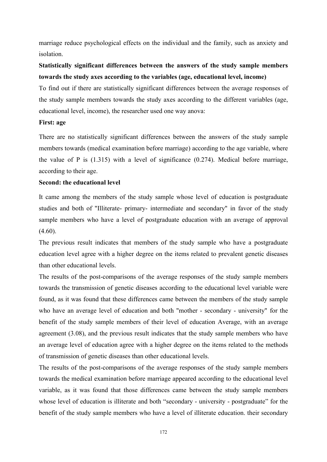marriage reduce psychological effects on the individual and the family, such as anxiety and isolation.

# **Statistically significant differences between the answers of the study sample members towards the study axesaccording to the variables (age, educational level, income)**

To find out if there are statistically significant differences between the average responses of the study sample members towards the study axes according to the different variables (age, educational level, income), the researcher used one way anova:

#### **First: age**

There are no statistically significant differences between the answers of the study sample members towards (medical examination before marriage) according to the age variable, where the value of P is  $(1.315)$  with a level of significance  $(0.274)$ . Medical before marriage, according to their age.

### **Second: the educational level**

It came among the members of the study sample whose level of education is postgraduate studies and both of "Illiterate- primary- intermediate and secondary" in favor of the study sample members who have a level of postgraduate education with an average of approval (4.60).

The previous result indicates that members of the study sample who have a postgraduate education level agree with a higher degree on the items related to prevalent genetic diseases than other educational levels.

The results of the post-comparisons of the average responses of the study sample members towards the transmission of genetic diseases according to the educational level variable were found, as it was found that these differences came between the members of the study sample who have an average level of education and both "mother - secondary - university" for the benefit of the study sample members of their level of education Average, with an average agreement (3.08), and the previous result indicates that the study sample members who have an average level of education agree with a higher degree on the items related to the methods of transmission of genetic diseases than other educational levels.

The results of the post-comparisons of the average responses of the study sample members towards the medical examination before marriage appeared according to the educational level variable, as it was found that those differences came between the study sample members whose level of education is illiterate and both "secondary - university - postgraduate" for the benefit of the study sample members who have a level of illiterate education. their secondary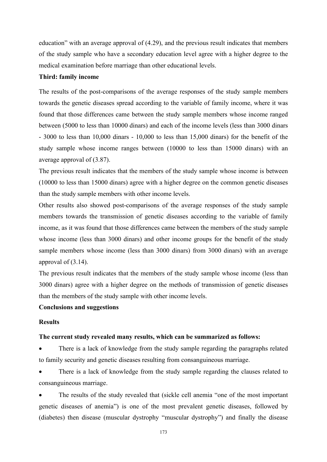education" with an average approval of (4.29), and the previous result indicates that members of the study sample who have a secondary education level agree with a higher degree to the medical examination before marriage than other educational levels.

#### **Third: family income**

The results of the post-comparisons of the average responses of the study sample members towards the genetic diseases spread according to the variable of family income, where it was found that those differences came between the study sample members whose income ranged between (5000 to less than 10000 dinars) and each of the income levels (less than 3000 dinars - 3000 to less than 10,000 dinars - 10,000 to less than 15,000 dinars) for the benefit of the study sample whose income ranges between (10000 to less than 15000 dinars) with an average approval of (3.87).

The previous result indicates that the members of the study sample whose income is between (10000 to less than 15000 dinars) agree with a higher degree on the common genetic diseases than the study sample members with other income levels.

Other results also showed post-comparisons of the average responses of the study sample members towards the transmission of genetic diseases according to the variable of family income, as it was found that those differences came between the members of the study sample whose income (less than 3000 dinars) and other income groups for the benefit of the study sample members whose income (less than 3000 dinars) from 3000 dinars) with an average approval of (3.14).

The previous result indicates that the members of the study sample whose income (less than 3000 dinars) agree with a higher degree on the methods of transmission of genetic diseases than the members of the study sample with other income levels.

## **Conclusions and suggestions**

### **Results**

#### **The current study revealed many results, which can be summarized as follows:**

 There is a lack of knowledge from the study sample regarding the paragraphs related to family security and genetic diseases resulting from consanguineous marriage.

There is a lack of knowledge from the study sample regarding the clauses related to consanguineous marriage.

 The results of the study revealed that (sickle cell anemia "one of the most important genetic diseases of anemia") is one of the most prevalent genetic diseases, followed by (diabetes) then disease (muscular dystrophy "muscular dystrophy") and finally the disease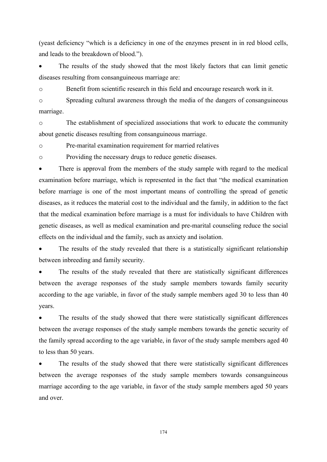(yeast deficiency "which is a deficiency in one of the enzymes present in in red blood cells, and leads to the breakdown of blood.").

 The results of the study showed that the most likely factors that can limit genetic diseases resulting from consanguineous marriage are:

o Benefit from scientific research in this field and encourage research work in it.

o Spreading cultural awareness through the media of the dangers of consanguineous marriage.

o The establishment of specialized associations that work to educate the community about genetic diseases resulting from consanguineous marriage.

o Pre-marital examination requirement for married relatives

o Providing the necessary drugs to reduce genetic diseases.

There is approval from the members of the study sample with regard to the medical examination before marriage, which is represented in the fact that "the medical examination before marriage is one of the most important means of controlling the spread of genetic diseases, as it reduces the material cost to the individual and the family, in addition to the fact that the medical examination before marriage isa must for individuals to have Children with genetic diseases, as well as medical examination and pre-marital counseling reduce the social effects on the individual and the family, such as anxiety and isolation.

The results of the study revealed that there is a statistically significant relationship between inbreeding and family security.

 The results of the study revealed that there are statistically significant differences between the average responses of the study sample members towards family security according to the age variable, in favor of the study sample members aged 30 to less than 40 years.

 The results of the study showed that there were statistically significant differences between the average responses of the study sample members towards the genetic security of the family spread according to the age variable, in favor of the study sample members aged 40 to less than 50 years.

 The results of the study showed that there were statistically significant differences between the average responses of the study sample members towards consanguineous marriage according to the age variable, in favor of the study sample members aged 50 years and over.

174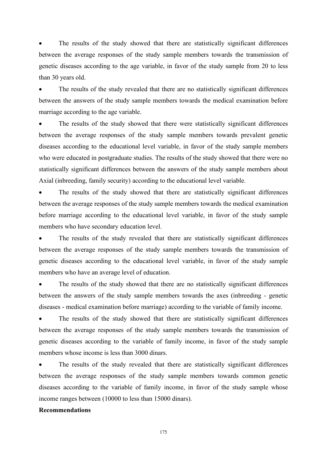The results of the study showed that there are statistically significant differences between the average responses of the study sample members towards the transmission of genetic diseases according to the age variable, in favor of the study sample from 20 to less than 30 years old.

 The results of the study revealed that there are no statistically significant differences between the answers of the study sample members towards the medical examination before marriage according to the age variable.

 The results of the study showed that there were statistically significant differences between the average responses of the study sample members towards prevalent genetic diseases according to the educational level variable, in favor of the study sample members who were educated in postgraduate studies. The results of the study showed that there were no statistically significant differences between the answers of the study sample members about Axial (inbreeding, family security) according to the educational level variable.

 The results of the study showed that there are statistically significant differences between the average responses of the study sample members towards the medical examination before marriage according to the educational level variable, in favor of the study sample members who have secondary education level.

 The results of the study revealed that there are statistically significant differences between the average responses of the study sample members towards the transmission of genetic diseases according to the educational level variable, in favor of the study sample members who have an average level of education.

 The results of the study showed that there are no statistically significant differences between the answers of the study sample members towards the axes (inbreeding - genetic diseases - medical examination before marriage) according to the variable of family income.

 The results of the study showed that there are statistically significant differences between the average responses of the study sample members towards the transmission of genetic diseases according to the variable of family income, in favor of the study sample members whose income is less than 3000 dinars.

 The results of the study revealed that there are statistically significant differences between the average responses of the study sample members towards common genetic diseases according to the variable of family income, in favor of the study sample whose income ranges between (10000 to less than 15000 dinars).

#### **Recommendations**

175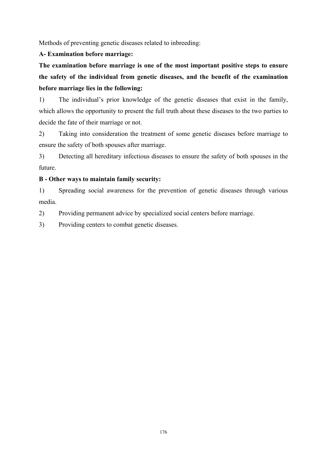Methods of preventing genetic diseases related to inbreeding:

# **A- Examination before marriage:**

**The examination before marriage isone of the most important positive steps to ensure the safety of the individual from genetic diseases, and the benefit of the examination before marriage lies in the following:**

1) The individual's prior knowledge of the genetic diseases that exist in the family, which allows the opportunity to present the full truth about these diseases to the two parties to decide the fate of their marriage or not.

2) Taking into consideration the treatment of some genetic diseases before marriage to ensure the safety of both spouses after marriage.

3) Detecting all hereditary infectious diseases to ensure the safety of both spouses in the future.

# **B - Other ways to maintain family security:**

1) Spreading social awareness for the prevention of genetic diseases through various media.

2) Providing permanent advice by specialized social centers before marriage.

3) Providing centers to combat genetic diseases.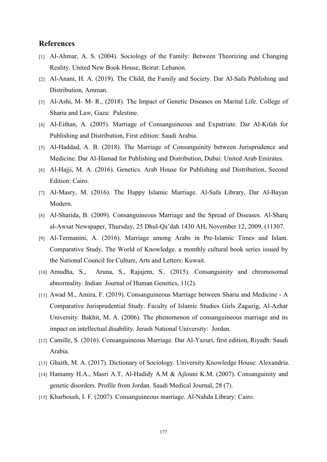### **References**

- [1] Al-Ahmar, A. S. (2004). Sociology of the Family: Between Theorizing and Changing Reality. United New Book House, Beirut: Lebanon.
- [2] Al-Anani, H. A. (2019). The Child, the Family and Society. Dar Al-Safa Publishing and Distribution, Amman.
- [3] Al-Ashi, M- M- R., (2018). The Impact of Genetic Diseases on Marital Life. College of Sharia and Law, Gaza: Palestine.
- [4] Al-Eithan, A. (2005). Marriage of Consanguineous and Expatriate. Dar Al-Kifah for Publishing and Distribution, First edition: Saudi Arabia.
- [5] Al-Haddad, A. B. (2018). The Marriage of Consanguinity between Jurisprudence and Medicine. Dar Al-Hamad for Publishing and Distribution, Dubai: United Arab Emirates.
- [6] Al-Hajji, M. A. (2016). Genetics. Arab House for Publishing and Distribution, Second Edition: Cairo.
- [7] Al-Masry, M. (2016). The Happy Islamic Marriage. Al-Safa Library, Dar Al-Bayan Modern.
- [8] Al-Sharida, B. (2009). Consanguineous Marriage and the Spread of Diseases. Al-Sharq al-Awsat Newspaper, Thursday, 25 Dhul-Qa'dah 1430 AH, November 12,2009, (11307.
- [9] Al-Termanini, A. (2016). Marriage among Arabs in Pre-Islamic Times and Islam. Comparative Study, The World of Knowledge. a monthly cultural book series issued by the National Council for Culture, Arts and Letters: Kuwait.
- [10] Amudha, S., Aruna, S., Rajajem, S.. (2015). Consanguinity and chromosomal abnormality. Indian Journal of Human Genetics, 11(2).
- [11] Awad M., Amira,F. (2019). Consanguineous Marriage between Sharia and Medicine A Comparative Jurisprudential Study. Faculty of Islamic Studies Girls Zagazig, Al-Azhar University. Bakhit, M. A. (2006). The phenomenon of consanguineous marriage and its impact on intellectual disability. Jerash National University: Jordan.
- [12] Camille, S. (2016). Consanguineous Marriage. Dar Al-Yazuri, first edition, Riyadh: Saudi Arabia.
- [13] Ghaith, M. A. (2017). Dictionary of Sociology. University Knowledge House: Alexandria.
- [14] Hamamy H.A., Masri A.T, Al-Hadidy A.M & Ajlouni K.M. (2007). Consanguinity and genetic disorders. Profile from Jordan. Saudi Medical Journal, 28 (7).
- [15] Kharboush, I. F. (2007). Consanguineous marriage. Al-Nahda Library: Cairo.